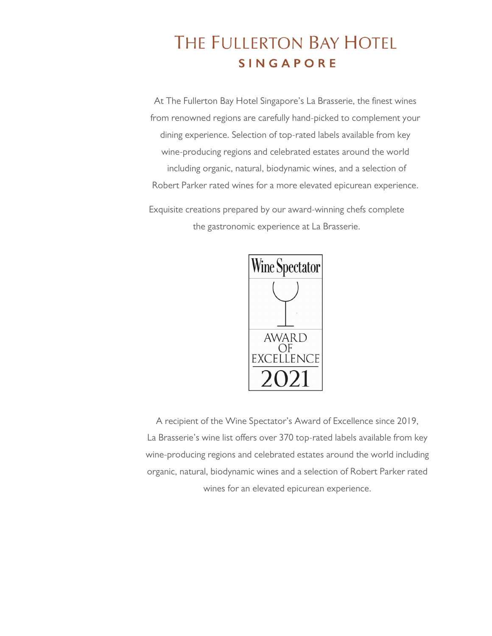# **THE FULLERTON BAY HOTEL SINGAPORE**

At The Fullerton Bay Hotel Singapore's La Brasserie, the finest wines from renowned regions are carefully hand-picked to complement your dining experience. Selection of top-rated labels available from key wine-producing regions and celebrated estates around the world including organic, natural, biodynamic wines, and a selection of Robert Parker rated wines for a more elevated epicurean experience.

Exquisite creations prepared by our award-winning chefs complete the gastronomic experience at La Brasserie.



A recipient of the Wine Spectator's Award of Excellence since 2019, La Brasserie's wine list offers over 370 top-rated labels available from key wine-producing regions and celebrated estates around the world including organic, natural, biodynamic wines and a selection of Robert Parker rated wines for an elevated epicurean experience.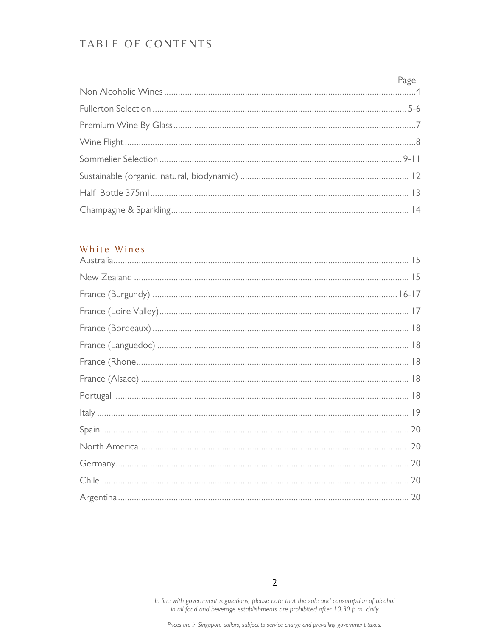# TABLE OF CONTENTS

#### White Wines

 $\overline{2}$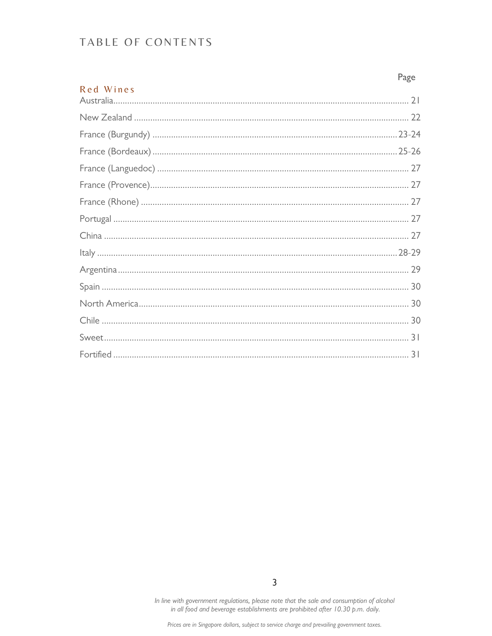# TABLE OF CONTENTS

|           | Page |
|-----------|------|
| Red Wines |      |
|           |      |
|           |      |
|           |      |
|           |      |
|           |      |
|           |      |
|           |      |
|           |      |
|           |      |
|           |      |
|           |      |
|           |      |
|           |      |
|           |      |
|           |      |
|           |      |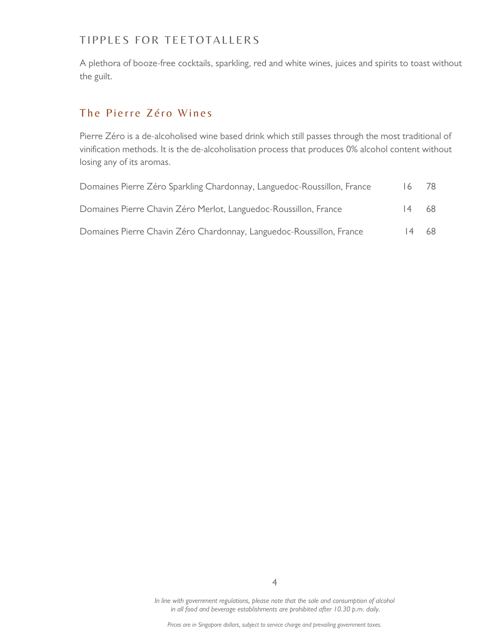#### TIPPLES FOR TEETOTALLERS

A plethora of booze-free cocktails, sparkling, red and white wines, juices and spirits to toast without the guilt.

# The Pierre Zéro Wines

Pierre Zéro is a de-alcoholised wine based drink which still passes through the most traditional of vinification methods. It is the de-alcoholisation process that produces 0% alcohol content without losing any of its aromas.

| Domaines Pierre Zéro Sparkling Chardonnay, Languedoc-Roussillon, France | 16    | 78. |
|-------------------------------------------------------------------------|-------|-----|
| Domaines Pierre Chavin Zéro Merlot, Languedoc-Roussillon, France        | 4     | 68. |
| Domaines Pierre Chavin Zéro Chardonnay, Languedoc-Roussillon, France    | 14 68 |     |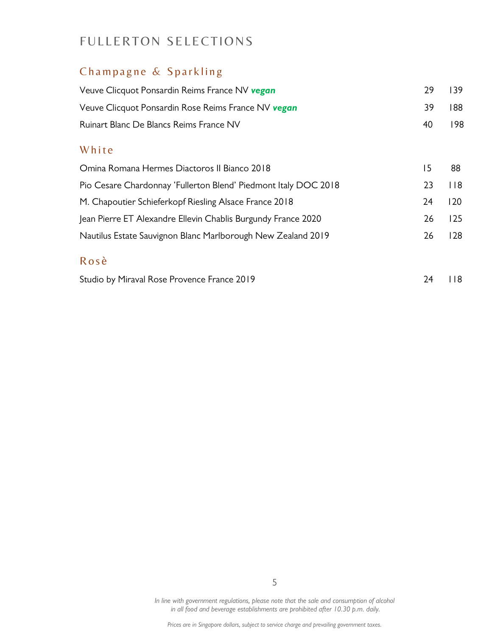# FULLERTON SELECTIONS

# Champagne & Sparkling

| Veuve Clicquot Ponsardin Reims France NV vegan                  | 29 | 139         |
|-----------------------------------------------------------------|----|-------------|
| Veuve Clicquot Ponsardin Rose Reims France NV <b>vegan</b>      | 39 | 188         |
| Ruinart Blanc De Blancs Reims France NV                         | 40 | 198         |
| White                                                           |    |             |
| Omina Romana Hermes Diactoros II Bianco 2018                    | 15 | 88          |
| Pio Cesare Chardonnay 'Fullerton Blend' Piedmont Italy DOC 2018 | 23 | $ $ $ $ $ $ |
| M. Chapoutier Schieferkopf Riesling Alsace France 2018          | 24 | 120         |
| Jean Pierre ET Alexandre Ellevin Chablis Burgundy France 2020   | 26 | 125         |
| Nautilus Estate Sauvignon Blanc Marlborough New Zealand 2019    | 26 | 128         |
| Rosè                                                            |    |             |
| Studio by Miraval Rose Provence France 2019                     | 24 | I 18        |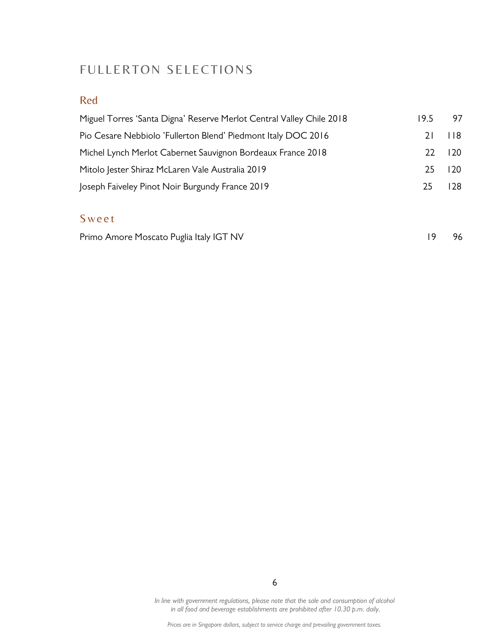# FULLERTON SELECTIONS

## Red

| Miguel Torres 'Santa Digna' Reserve Merlot Central Valley Chile 2018 | 19.5   | 97               |
|----------------------------------------------------------------------|--------|------------------|
| Pio Cesare Nebbiolo 'Fullerton Blend' Piedmont Italy DOC 2016        | 21     | - 118            |
| Michel Lynch Merlot Cabernet Sauvignon Bordeaux France 2018          | 22 120 |                  |
| Mitolo Jester Shiraz McLaren Vale Australia 2019                     | 25.    | $\overline{120}$ |
| Joseph Faiveley Pinot Noir Burgundy France 2019                      | 25.    | 128              |

# **Sweet**

| Primo Amore Moscato Puglia Italy IGT NV |  | 19 96 |
|-----------------------------------------|--|-------|
|-----------------------------------------|--|-------|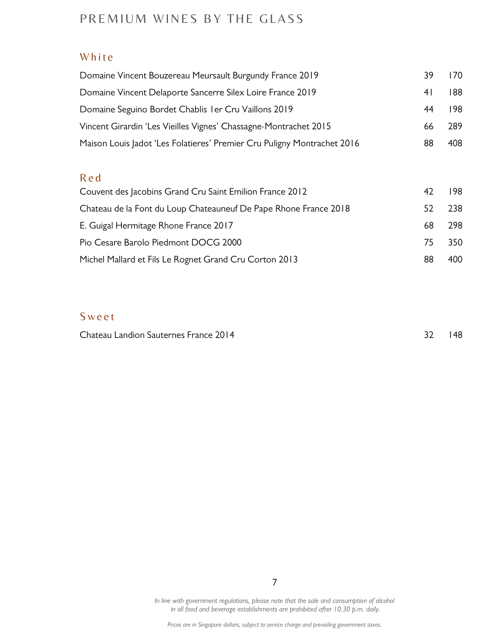# PREMIUM WINES BY THE GLASS

#### White

| Domaine Vincent Bouzereau Meursault Burgundy France 2019                | 39  | 170. |
|-------------------------------------------------------------------------|-----|------|
| Domaine Vincent Delaporte Sancerre Silex Loire France 2019              | 4 I | 188  |
| Domaine Seguino Bordet Chablis I er Cru Vaillons 2019                   | 44  | 198  |
| Vincent Girardin 'Les Vieilles Vignes' Chassagne-Montrachet 2015        | 66  | 289  |
| Maison Louis Jadot 'Les Folatieres' Premier Cru Puligny Montrachet 2016 | 88  | 408  |
|                                                                         |     |      |

#### R e d

| Couvent des Jacobins Grand Cru Saint Emilion France 2012         | 42  | 198. |
|------------------------------------------------------------------|-----|------|
| Chateau de la Font du Loup Chateauneuf De Pape Rhone France 2018 | 52. | 238  |
| E. Guigal Hermitage Rhone France 2017                            | 68. | -298 |
| Pio Cesare Barolo Piedmont DOCG 2000                             | 75  | 350  |
| Michel Mallard et Fils Le Rognet Grand Cru Corton 2013           | 88  | 400  |

# **S** we et

Chateau Landion Sauternes France 2014 32 148

In line with government regulations, please note that the sale and consumption of alcohol in all food and beverage establishments are prohibited after 10.30 p.m. daily.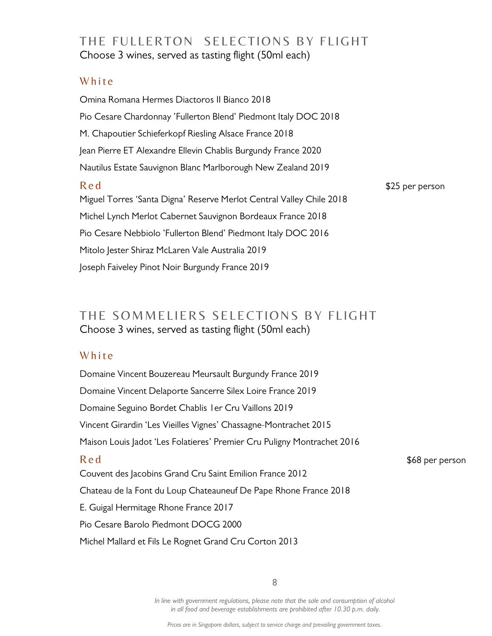# THE FULLERTON SELECTIONS BY FLIGHT Choose 3 wines, served as tasting flight (50ml each)

#### White

Omina Romana Hermes Diactoros II Bianco 2018 Pio Cesare Chardonnay 'Fullerton Blend' Piedmont Italy DOC 2018 M. Chapoutier Schieferkopf Riesling Alsace France 2018 Jean Pierre ET Alexandre Ellevin Chablis Burgundy France 2020 Nautilus Estate Sauvignon Blanc Marlborough New Zealand 2019 R e d<sup>e a</sup>ctual de la contrata de la contrata de la contrata de la contrata de la contrata de la contrata de la contrata de la contrata de la contrata de la contrata de la contrata de la contrata de la contrata de la contr Miguel Torres 'Santa Digna' Reserve Merlot Central Valley Chile 2018 Michel Lynch Merlot Cabernet Sauvignon Bordeaux France 2018 Pio Cesare Nebbiolo 'Fullerton Blend' Piedmont Italy DOC 2016 Mitolo Jester Shiraz McLaren Vale Australia 2019 Joseph Faiveley Pinot Noir Burgundy France 2019

# THE SOMMELIERS SELECTIONS BY FLIGHT Choose 3 wines, served as tasting flight (50ml each)

#### White

Domaine Vincent Bouzereau Meursault Burgundy France 2019 Domaine Vincent Delaporte Sancerre Silex Loire France 2019 Domaine Seguino Bordet Chablis 1er Cru Vaillons 2019 Vincent Girardin 'Les Vieilles Vignes' Chassagne-Montrachet 2015 Maison Louis Jadot 'Les Folatieres' Premier Cru Puligny Montrachet 2016 R e d<sup>e d</sup> and the set of the set of the set of the set of the set of the set of the set of the set of the set of the set of the set of the set of the set of the set of the set of the set of the set of the set of the set o Couvent des Jacobins Grand Cru Saint Emilion France 2012 Chateau de la Font du Loup Chateauneuf De Pape Rhone France 2018 E. Guigal Hermitage Rhone France 2017 Pio Cesare Barolo Piedmont DOCG 2000 Michel Mallard et Fils Le Rognet Grand Cru Corton 2013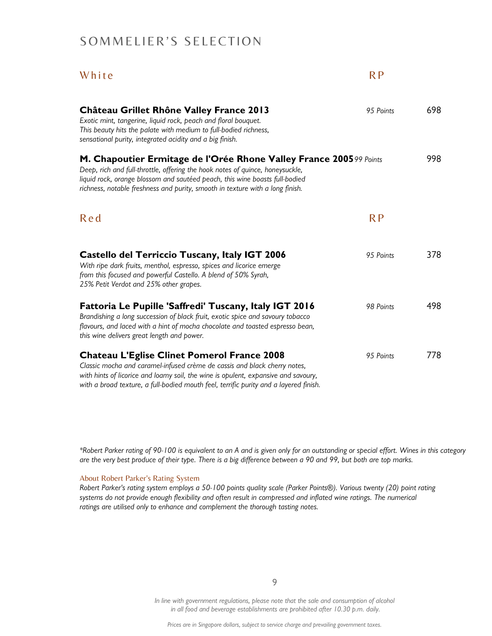# SOMMELIER'S SELECTION

| White                                                                                                                                                                                                                                                                                                                | R <sub>P</sub> |     |
|----------------------------------------------------------------------------------------------------------------------------------------------------------------------------------------------------------------------------------------------------------------------------------------------------------------------|----------------|-----|
| <b>Château Grillet Rhône Valley France 2013</b><br>Exotic mint, tangerine, liquid rock, peach and floral bouquet.<br>This beauty hits the palate with medium to full-bodied richness,<br>sensational purity, integrated acidity and a big finish.                                                                    | 95 Points      | 698 |
| M. Chapoutier Ermitage de l'Orée Rhone Valley France 2005 99 Points<br>Deep, rich and full-throttle, offering the hook notes of quince, honeysuckle,<br>liquid rock, orange blossom and sautéed peach, this wine boasts full-bodied<br>richness, notable freshness and purity, smooth in texture with a long finish. |                | 998 |
| Red                                                                                                                                                                                                                                                                                                                  | RP             |     |
| <b>Castello del Terriccio Tuscany, Italy IGT 2006</b><br>With ripe dark fruits, menthol, espresso, spices and licorice emerge<br>from this focused and powerful Castello. A blend of 50% Syrah,<br>25% Petit Verdot and 25% other grapes.                                                                            | 95 Points      | 378 |
| <b>Fattoria Le Pupille 'Saffredi' Tuscany, Italy IGT 2016</b><br>Brandishing a long succession of black fruit, exotic spice and savoury tobacco<br>flavours, and laced with a hint of mocha chocolate and toasted espresso bean,<br>this wine delivers great length and power.                                       | 98 Points      | 498 |
| <b>Chateau L'Eglise Clinet Pomerol France 2008</b><br>Classic mocha and caramel-infused crème de cassis and black cherry notes,<br>with hints of licorice and loamy soil, the wine is opulent, expansive and savoury,<br>with a broad texture, a full-bodied mouth feel, terrific purity and a layered finish.       | 95 Points      | 778 |

\*Robert Parker rating of 90-100 is equivalent to an A and is given only for an outstanding or special effort. Wines in this category are the very best produce of their type. There is a big difference between a 90 and 99, but both are top marks.

#### About Robert Parker's Rating System

Robert Parker's rating system employs a 50-100 points quality scale (Parker Points®). Various twenty (20) point rating systems do not provide enough flexibility and often result in compressed and inflated wine ratings. The numerical ratings are utilised only to enhance and complement the thorough tasting notes.

9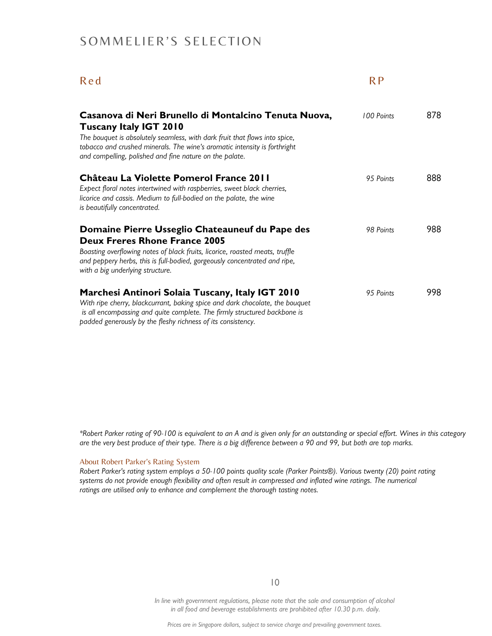# SOMMELIER'S SELECTION

# R e d

| Casanova di Neri Brunello di Montalcino Tenuta Nuova,<br><b>Tuscany Italy IGT 2010</b><br>The bouquet is absolutely seamless, with dark fruit that flows into spice,<br>tobacco and crushed minerals. The wine's aromatic intensity is forthright<br>and compelling, polished and fine nature on the palate. | 100 Points | 878 |
|--------------------------------------------------------------------------------------------------------------------------------------------------------------------------------------------------------------------------------------------------------------------------------------------------------------|------------|-----|
| Château La Violette Pomerol France 2011<br>Expect floral notes intertwined with raspberries, sweet black cherries,<br>licorice and cassis. Medium to full-bodied on the palate, the wine<br>is beautifully concentrated.                                                                                     | 95 Points  | 888 |
| Domaine Pierre Usseglio Chateauneuf du Pape des<br><b>Deux Freres Rhone France 2005</b><br>Boasting overflowing notes of black fruits, licorice, roasted meats, truffle<br>and peppery herbs, this is full-bodied, gorgeously concentrated and ripe,<br>with a big underlying structure.                     | 98 Points  | 988 |
| Marchesi Antinori Solaia Tuscany, Italy IGT 2010<br>With ripe cherry, blackcurrant, baking spice and dark chocolate, the bouquet<br>is all encompassing and quite complete. The firmly structured backbone is<br>padded generously by the fleshy richness of its consistency.                                | 95 Points  | 998 |

\*Robert Parker rating of 90-100 is equivalent to an A and is given only for an outstanding or special effort. Wines in this category are the very best produce of their type. There is a big difference between a 90 and 99, but both are top marks.

#### About Robert Parker's Rating System

Robert Parker's rating system employs a 50-100 points quality scale (Parker Points®). Various twenty (20) point rating systems do not provide enough flexibility and often result in compressed and inflated wine ratings. The numerical ratings are utilised only to enhance and complement the thorough tasting notes.

10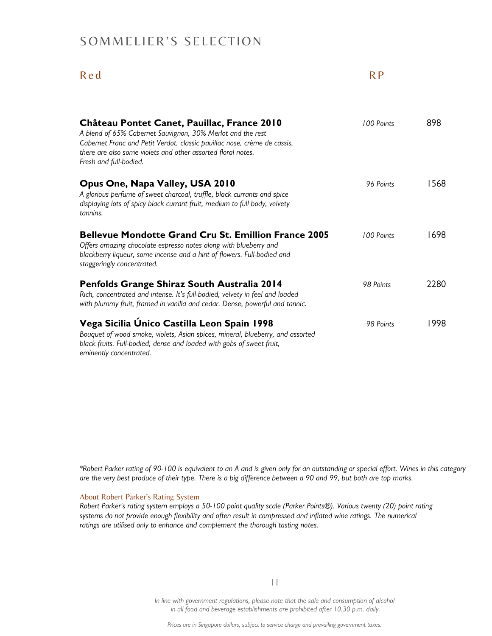# SOMMELIER'S SELECTION

# R e d

| Château Pontet Canet, Pauillac, France 2010<br>A blend of 65% Cabernet Sauvignon, 30% Merlot and the rest<br>Cabernet Franc and Petit Verdot, classic pauillac nose, crème de cassis,<br>there are also some violets and other assorted floral notes.<br>Fresh and full-bodied. | 100 Points | 898  |
|---------------------------------------------------------------------------------------------------------------------------------------------------------------------------------------------------------------------------------------------------------------------------------|------------|------|
| Opus One, Napa Valley, USA 2010<br>A glorious perfume of sweet charcoal, truffle, black currants and spice<br>displaying lots of spicy black currant fruit, medium to full body, velvety<br>tannins.                                                                            | 96 Points  | 1568 |
| <b>Bellevue Mondotte Grand Cru St. Emillion France 2005</b><br>Offers amazing chocolate espresso notes along with blueberry and<br>blackberry liqueur, some incense and a hint of flowers. Full-bodied and<br>staggeringly concentrated.                                        | 100 Points | 1698 |
| Penfolds Grange Shiraz South Australia 2014<br>Rich, concentrated and intense. It's full-bodied, velvety in feel and loaded<br>with plummy fruit, framed in vanilla and cedar. Dense, powerful and tannic.                                                                      | 98 Points  | 2280 |
| Vega Sicilia Único Castilla Leon Spain 1998<br>Bouquet of wood smoke, violets, Asian spices, mineral, blueberry, and assorted<br>black fruits. Full-bodied, dense and loaded with gobs of sweet fruit,<br>eminently concentrated.                                               | 98 Points  | 1998 |

\*Robert Parker rating of 90-100 is equivalent to an A and is given only for an outstanding or special effort. Wines in this category are the very best produce of their type. There is a big difference between a 90 and 99, but both are top marks.

#### About Robert Parker's Rating System

Robert Parker's rating system employs a 50-100 point quality scale (Parker Points®). Various twenty (20) point rating systems do not provide enough flexibility and often result in compressed and inflated wine ratings. The numerical ratings are utilised only to enhance and complement the thorough tasting notes.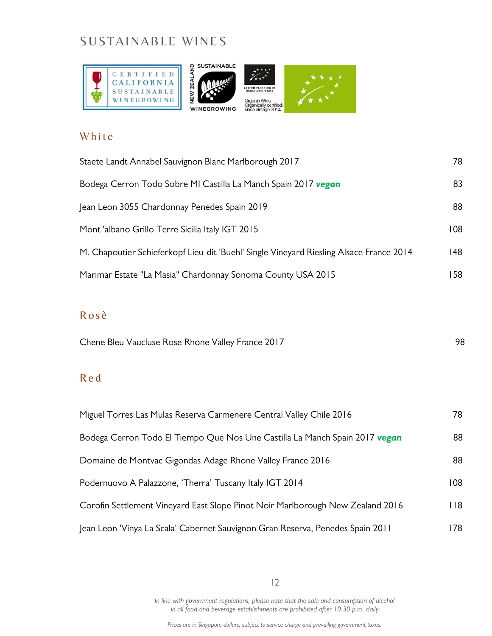# SUSTAINABLE WINES



## White

| Staete Landt Annabel Sauvignon Blanc Marlborough 2017                                   | 78  |
|-----------------------------------------------------------------------------------------|-----|
| Bodega Cerron Todo Sobre MI Castilla La Manch Spain 2017 vegan                          | 83  |
| Jean Leon 3055 Chardonnay Penedes Spain 2019                                            | 88  |
| Mont 'albano Grillo Terre Sicilia Italy IGT 2015                                        | 108 |
| M. Chapoutier Schieferkopf Lieu-dit 'Buehl' Single Vineyard Riesling Alsace France 2014 | 148 |
| Marimar Estate "La Masia" Chardonnay Sonoma County USA 2015                             | -58 |

# R o s ѐ

Chene Bleu Vaucluse Rose Rhone Valley France 2017 **1988** 98

## R e d

| Miguel Torres Las Mulas Reserva Carmenere Central Valley Chile 2016            | 78.  |
|--------------------------------------------------------------------------------|------|
| Bodega Cerron Todo El Tiempo Que Nos Une Castilla La Manch Spain 2017 vegan    | 88   |
| Domaine de Montvac Gigondas Adage Rhone Valley France 2016                     | 88   |
| Podernuovo A Palazzone, 'Therra' Tuscany Italy IGT 2014                        | 108  |
| Corofin Settlement Vineyard East Slope Pinot Noir Marlborough New Zealand 2016 | l 18 |
| Jean Leon 'Vinya La Scala' Cabernet Sauvignon Gran Reserva, Penedes Spain 2011 | 178. |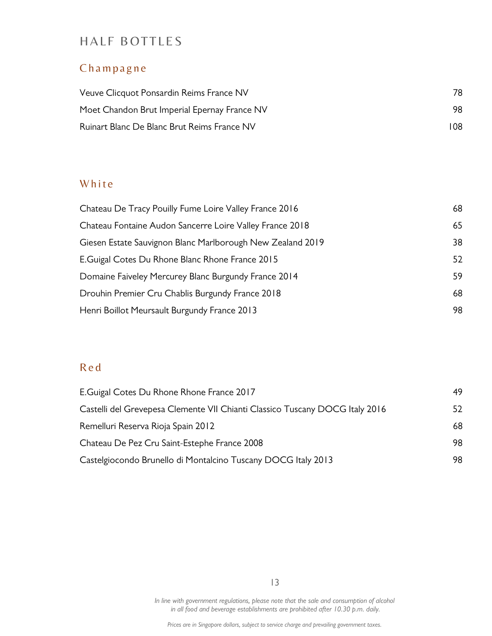# HALF BOTTLES

# Champagne

| Veuve Clicquot Ponsardin Reims France NV     | 78. |  |
|----------------------------------------------|-----|--|
| Moet Chandon Brut Imperial Epernay France NV | 98. |  |
| Ruinart Blanc De Blanc Brut Reims France NV  | 108 |  |

# White

| Chateau Fontaine Audon Sancerre Loire Valley France 2018<br>65<br>Giesen Estate Sauvignon Blanc Marlborough New Zealand 2019<br>38<br>E. Guigal Cotes Du Rhone Blanc Rhone France 2015<br>59<br>Domaine Faiveley Mercurey Blanc Burgundy France 2014<br>Drouhin Premier Cru Chablis Burgundy France 2018<br>68<br>Henri Boillot Meursault Burgundy France 2013<br>98 | Chateau De Tracy Pouilly Fume Loire Valley France 2016 | 68 |
|----------------------------------------------------------------------------------------------------------------------------------------------------------------------------------------------------------------------------------------------------------------------------------------------------------------------------------------------------------------------|--------------------------------------------------------|----|
|                                                                                                                                                                                                                                                                                                                                                                      |                                                        |    |
|                                                                                                                                                                                                                                                                                                                                                                      |                                                        |    |
|                                                                                                                                                                                                                                                                                                                                                                      |                                                        | 52 |
|                                                                                                                                                                                                                                                                                                                                                                      |                                                        |    |
|                                                                                                                                                                                                                                                                                                                                                                      |                                                        |    |
|                                                                                                                                                                                                                                                                                                                                                                      |                                                        |    |

# R e d

| E.Guigal Cotes Du Rhone Rhone France 2017                                    | 49. |
|------------------------------------------------------------------------------|-----|
| Castelli del Grevepesa Clemente VII Chianti Classico Tuscany DOCG Italy 2016 | 52. |
| Remelluri Reserva Rioja Spain 2012                                           | 68  |
| Chateau De Pez Cru Saint-Estephe France 2008                                 | 98. |
| Castelgiocondo Brunello di Montalcino Tuscany DOCG Italy 2013                | 98. |

13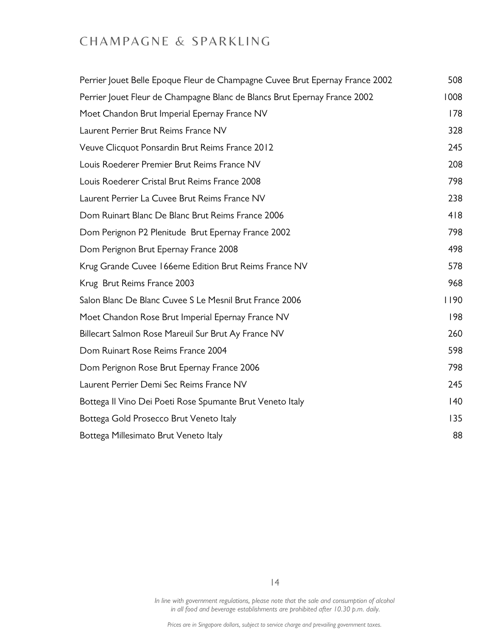# CHAMPAGNE & SPARKLING

| Perrier Jouet Belle Epoque Fleur de Champagne Cuvee Brut Epernay France 2002 | 508  |
|------------------------------------------------------------------------------|------|
| Perrier Jouet Fleur de Champagne Blanc de Blancs Brut Epernay France 2002    | 1008 |
| Moet Chandon Brut Imperial Epernay France NV                                 | 178  |
| Laurent Perrier Brut Reims France NV                                         | 328  |
| Veuve Clicquot Ponsardin Brut Reims France 2012                              | 245  |
| Louis Roederer Premier Brut Reims France NV                                  | 208  |
| Louis Roederer Cristal Brut Reims France 2008                                | 798  |
| Laurent Perrier La Cuvee Brut Reims France NV                                | 238  |
| Dom Ruinart Blanc De Blanc Brut Reims France 2006                            | 418  |
| Dom Perignon P2 Plenitude Brut Epernay France 2002                           | 798  |
| Dom Perignon Brut Epernay France 2008                                        | 498  |
| Krug Grande Cuvee 166eme Edition Brut Reims France NV                        | 578  |
| Krug Brut Reims France 2003                                                  | 968  |
| Salon Blanc De Blanc Cuvee S Le Mesnil Brut France 2006                      | 1190 |
| Moet Chandon Rose Brut Imperial Epernay France NV                            | 198  |
| Billecart Salmon Rose Mareuil Sur Brut Ay France NV                          | 260  |
| Dom Ruinart Rose Reims France 2004                                           | 598  |
| Dom Perignon Rose Brut Epernay France 2006                                   | 798  |
| Laurent Perrier Demi Sec Reims France NV                                     | 245  |
| Bottega II Vino Dei Poeti Rose Spumante Brut Veneto Italy                    | 40   |
| Bottega Gold Prosecco Brut Veneto Italy                                      | 135  |
| Bottega Millesimato Brut Veneto Italy                                        | 88   |

14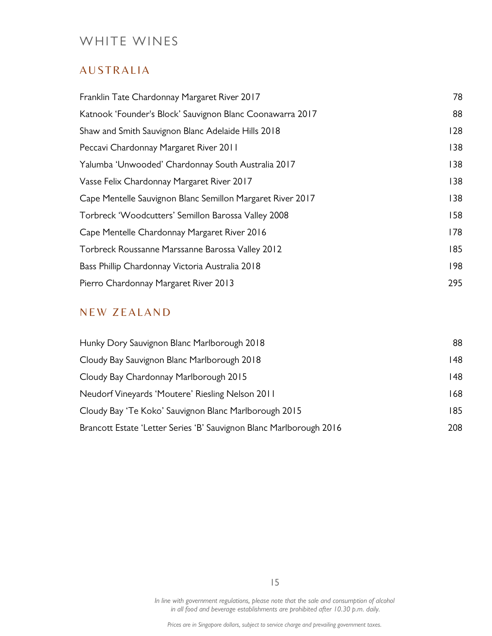# WHITE WINES

# **AUSTRALIA**

| Franklin Tate Chardonnay Margaret River 2017               | 78  |
|------------------------------------------------------------|-----|
| Katnook 'Founder's Block' Sauvignon Blanc Coonawarra 2017  | 88  |
| Shaw and Smith Sauvignon Blanc Adelaide Hills 2018         | 128 |
| Peccavi Chardonnay Margaret River 2011                     | 138 |
| Yalumba 'Unwooded' Chardonnay South Australia 2017         | 138 |
| Vasse Felix Chardonnay Margaret River 2017                 | 138 |
| Cape Mentelle Sauvignon Blanc Semillon Margaret River 2017 | 138 |
| Torbreck 'Woodcutters' Semillon Barossa Valley 2008        | 158 |
| Cape Mentelle Chardonnay Margaret River 2016               | 178 |
| Torbreck Roussanne Marssanne Barossa Valley 2012           | 185 |
| Bass Phillip Chardonnay Victoria Australia 2018            | 198 |
| Pierro Chardonnay Margaret River 2013                      | 295 |

# NEW ZEALAND

| Hunky Dory Sauvignon Blanc Marlborough 2018                         | 88  |
|---------------------------------------------------------------------|-----|
| Cloudy Bay Sauvignon Blanc Marlborough 2018                         | 148 |
| Cloudy Bay Chardonnay Marlborough 2015                              | 148 |
| Neudorf Vineyards 'Moutere' Riesling Nelson 2011                    | 168 |
| Cloudy Bay 'Te Koko' Sauvignon Blanc Marlborough 2015               | 185 |
| Brancott Estate 'Letter Series 'B' Sauvignon Blanc Marlborough 2016 | 208 |

15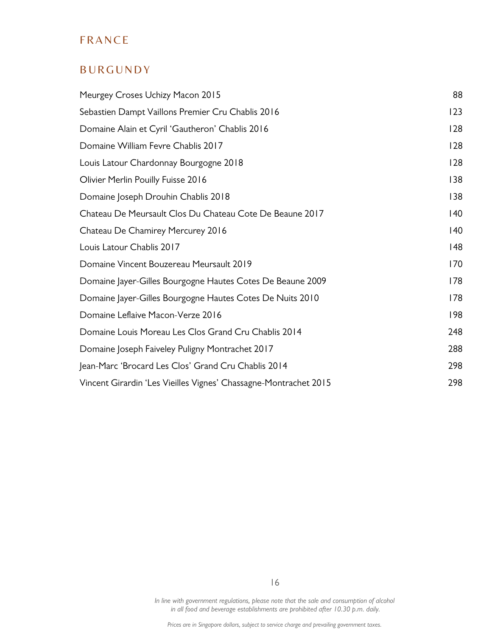# **FRANCE**

# **BURGUNDY**

| Meurgey Croses Uchizy Macon 2015                                 | 88           |
|------------------------------------------------------------------|--------------|
| Sebastien Dampt Vaillons Premier Cru Chablis 2016                | 123          |
| Domaine Alain et Cyril 'Gautheron' Chablis 2016                  | 128          |
| Domaine William Fevre Chablis 2017                               | 128          |
| Louis Latour Chardonnay Bourgogne 2018                           | 128          |
| Olivier Merlin Pouilly Fuisse 2016                               | 138          |
| Domaine Joseph Drouhin Chablis 2018                              | 138          |
| Chateau De Meursault Clos Du Chateau Cote De Beaune 2017         | $ 40\rangle$ |
| Chateau De Chamirey Mercurey 2016                                | $ 40\rangle$ |
| Louis Latour Chablis 2017                                        | 148          |
| Domaine Vincent Bouzereau Meursault 2019                         | 170          |
| Domaine Jayer-Gilles Bourgogne Hautes Cotes De Beaune 2009       | 178          |
| Domaine Jayer-Gilles Bourgogne Hautes Cotes De Nuits 2010        | 178          |
| Domaine Leflaive Macon-Verze 2016                                | 198          |
| Domaine Louis Moreau Les Clos Grand Cru Chablis 2014             | 248          |
| Domaine Joseph Faiveley Puligny Montrachet 2017                  | 288          |
| Jean-Marc 'Brocard Les Clos' Grand Cru Chablis 2014              | 298          |
| Vincent Girardin 'Les Vieilles Vignes' Chassagne-Montrachet 2015 | 298          |

In line with government regulations, please note that the sale and consumption of alcohol in all food and beverage establishments are prohibited after 10.30 p.m. daily.

16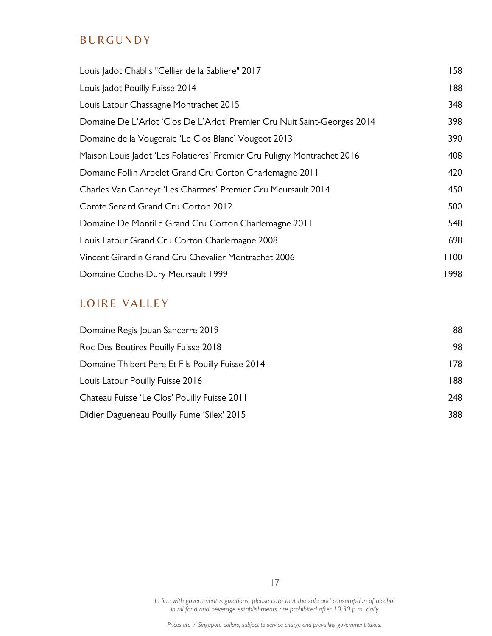# **BURGUNDY**

| Louis Jadot Chablis "Cellier de la Sabliere" 2017                        | 158  |
|--------------------------------------------------------------------------|------|
| Louis Jadot Pouilly Fuisse 2014                                          | 188  |
| Louis Latour Chassagne Montrachet 2015                                   | 348  |
| Domaine De L'Arlot 'Clos De L'Arlot' Premier Cru Nuit Saint-Georges 2014 | 398  |
| Domaine de la Vougeraie 'Le Clos Blanc' Vougeot 2013                     | 390  |
| Maison Louis Jadot 'Les Folatieres' Premier Cru Puligny Montrachet 2016  | 408  |
| Domaine Follin Arbelet Grand Cru Corton Charlemagne 2011                 | 420  |
| Charles Van Canneyt 'Les Charmes' Premier Cru Meursault 2014             | 450  |
| Comte Senard Grand Cru Corton 2012                                       | 500  |
| Domaine De Montille Grand Cru Corton Charlemagne 2011                    | 548  |
| Louis Latour Grand Cru Corton Charlemagne 2008                           | 698  |
| Vincent Girardin Grand Cru Chevalier Montrachet 2006                     | 1100 |
| Domaine Coche-Dury Meursault 1999                                        | 1998 |

# LOIRE VALLEY

| 88   |
|------|
| 98   |
| 178. |
| 188  |
| 248  |
| 388  |
|      |

17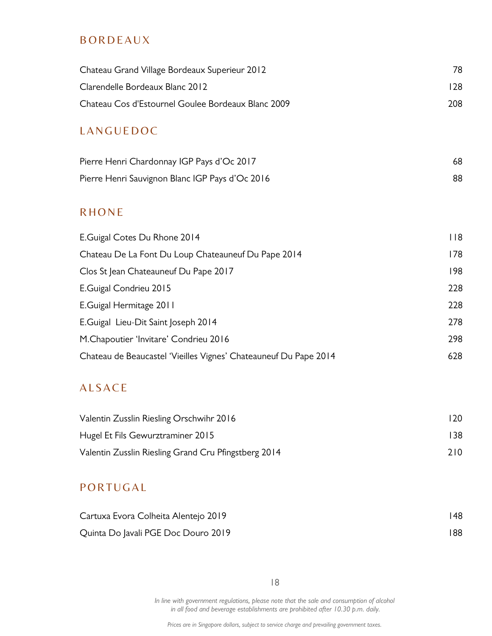## **BORDEAUX**

| Chateau Grand Village Bordeaux Superieur 2012                    | 78  |
|------------------------------------------------------------------|-----|
| Clarendelle Bordeaux Blanc 2012                                  | 128 |
| Chateau Cos d'Estournel Goulee Bordeaux Blanc 2009               | 208 |
| LANGUEDOC                                                        |     |
| Pierre Henri Chardonnay IGP Pays d'Oc 2017                       | 68  |
| Pierre Henri Sauvignon Blanc IGP Pays d'Oc 2016                  | 88  |
| <b>RHONE</b>                                                     |     |
| E.Guigal Cotes Du Rhone 2014                                     | 118 |
| Chateau De La Font Du Loup Chateauneuf Du Pape 2014              | 178 |
| Clos St Jean Chateauneuf Du Pape 2017                            | 198 |
| E.Guigal Condrieu 2015                                           | 228 |
| E.Guigal Hermitage 2011                                          | 228 |
| E.Guigal Lieu-Dit Saint Joseph 2014                              | 278 |
| M.Chapoutier 'Invitare' Condrieu 2016                            | 298 |
| Chateau de Beaucastel 'Vieilles Vignes' Chateauneuf Du Pape 2014 | 628 |

# **ALSACE**

| Valentin Zusslin Riesling Orschwihr 2016             | 120  |
|------------------------------------------------------|------|
| Hugel Et Fils Gewurztraminer 2015                    | 138  |
| Valentin Zusslin Riesling Grand Cru Pfingstberg 2014 | 210. |

# **PORTUGAL**

| Cartuxa Evora Colheita Alentejo 2019 | 148 |
|--------------------------------------|-----|
| Quinta Do Javali PGE Doc Douro 2019  | 188 |

18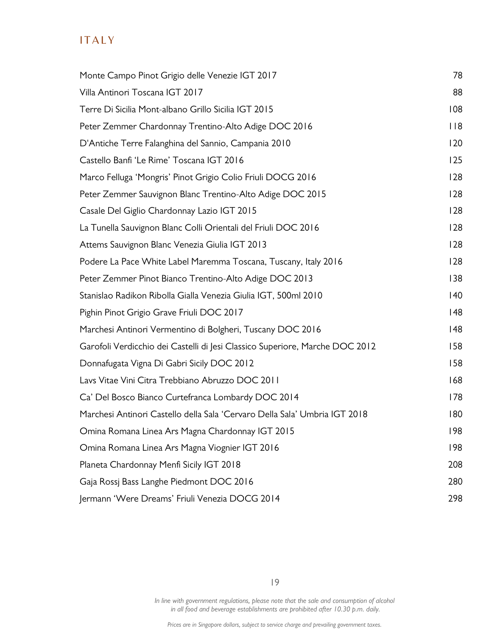# **ITALY**

| Monte Campo Pinot Grigio delle Venezie IGT 2017                              | 78  |
|------------------------------------------------------------------------------|-----|
| Villa Antinori Toscana IGT 2017                                              | 88  |
| Terre Di Sicilia Mont-albano Grillo Sicilia IGT 2015                         | 108 |
| Peter Zemmer Chardonnay Trentino-Alto Adige DOC 2016                         | 118 |
| D'Antiche Terre Falanghina del Sannio, Campania 2010                         | 120 |
| Castello Banfi 'Le Rime' Toscana IGT 2016                                    | 125 |
| Marco Felluga 'Mongris' Pinot Grigio Colio Friuli DOCG 2016                  | 128 |
| Peter Zemmer Sauvignon Blanc Trentino-Alto Adige DOC 2015                    | 128 |
| Casale Del Giglio Chardonnay Lazio IGT 2015                                  | 128 |
| La Tunella Sauvignon Blanc Colli Orientali del Friuli DOC 2016               | 128 |
| Attems Sauvignon Blanc Venezia Giulia IGT 2013                               | 128 |
| Podere La Pace White Label Maremma Toscana, Tuscany, Italy 2016              | 128 |
| Peter Zemmer Pinot Bianco Trentino-Alto Adige DOC 2013                       | 138 |
| Stanislao Radikon Ribolla Gialla Venezia Giulia IGT, 500ml 2010              | 140 |
| Pighin Pinot Grigio Grave Friuli DOC 2017                                    | 48  |
| Marchesi Antinori Vermentino di Bolgheri, Tuscany DOC 2016                   | 48  |
| Garofoli Verdicchio dei Castelli di Jesi Classico Superiore, Marche DOC 2012 | 158 |
| Donnafugata Vigna Di Gabri Sicily DOC 2012                                   | 158 |
| Lavs Vitae Vini Citra Trebbiano Abruzzo DOC 2011                             | 168 |
| Ca' Del Bosco Bianco Curtefranca Lombardy DOC 2014                           | 178 |
| Marchesi Antinori Castello della Sala 'Cervaro Della Sala' Umbria IGT 2018   | 180 |
| Omina Romana Linea Ars Magna Chardonnay IGT 2015                             | 198 |
| Omina Romana Linea Ars Magna Viognier IGT 2016                               | 198 |
| Planeta Chardonnay Menfi Sicily IGT 2018                                     | 208 |
| Gaja Rossj Bass Langhe Piedmont DOC 2016                                     | 280 |
| Jermann 'Were Dreams' Friuli Venezia DOCG 2014                               | 298 |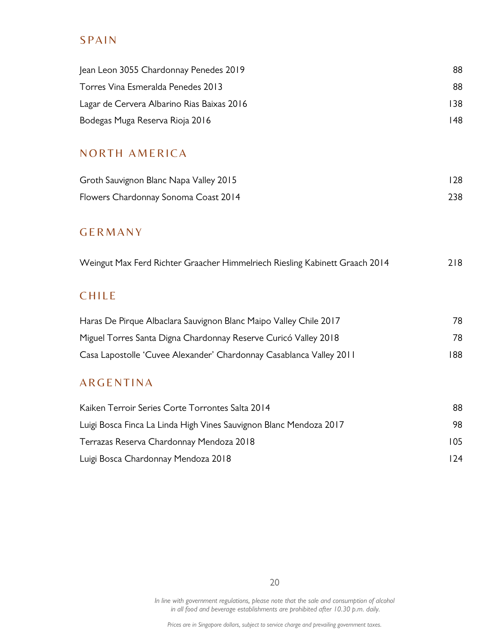# **SPAIN**

| Jean Leon 3055 Chardonnay Penedes 2019                                      | 88  |
|-----------------------------------------------------------------------------|-----|
| Torres Vina Esmeralda Penedes 2013                                          | 88  |
| Lagar de Cervera Albarino Rias Baixas 2016                                  | 138 |
| Bodegas Muga Reserva Rioja 2016                                             | 48  |
| <b>NORTH AMERICA</b>                                                        |     |
| Groth Sauvignon Blanc Napa Valley 2015                                      | 128 |
| Flowers Chardonnay Sonoma Coast 2014                                        | 238 |
| <b>GERMANY</b>                                                              |     |
| Weingut Max Ferd Richter Graacher Himmelriech Riesling Kabinett Graach 2014 | 218 |
| <b>CHILE</b>                                                                |     |
| Haras De Pirque Albaclara Sauvignon Blanc Maipo Valley Chile 2017           | 78  |
| Miguel Torres Santa Digna Chardonnay Reserve Curicó Valley 2018             | 78  |
| Casa Lapostolle 'Cuvee Alexander' Chardonnay Casablanca Valley 2011         | 188 |
| <b>ARGENTINA</b>                                                            |     |
| Kaiken Terroir Series Corte Torrontes Salta 2014                            | 88  |
| Luigi Bosca Finca La Linda High Vines Sauvignon Blanc Mendoza 2017          | 98  |
| Terrazas Reserva Chardonnay Mendoza 2018                                    | 105 |

20

Luigi Bosca Chardonnay Mendoza 2018 124

In line with government regulations, please note that the sale and consumption of alcohol in all food and beverage establishments are prohibited after 10.30 p.m. daily.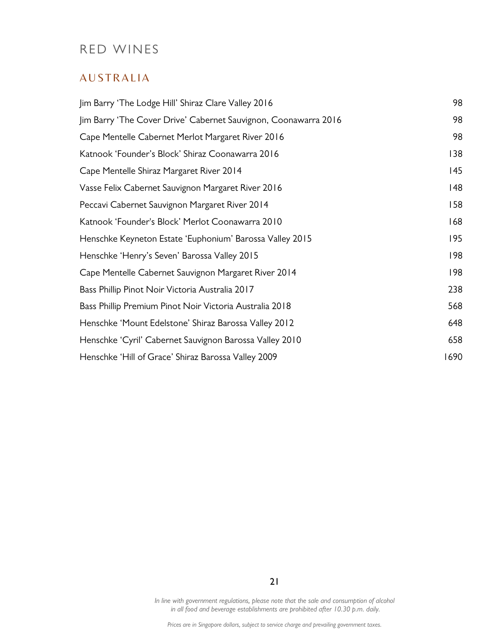# RED WINES

## **AUSTRALIA**

| Jim Barry 'The Lodge Hill' Shiraz Clare Valley 2016             | 98   |
|-----------------------------------------------------------------|------|
| Jim Barry 'The Cover Drive' Cabernet Sauvignon, Coonawarra 2016 | 98   |
| Cape Mentelle Cabernet Merlot Margaret River 2016               | 98   |
| Katnook 'Founder's Block' Shiraz Coonawarra 2016                | 138  |
| Cape Mentelle Shiraz Margaret River 2014                        | 145  |
| Vasse Felix Cabernet Sauvignon Margaret River 2016              | 48   |
| Peccavi Cabernet Sauvignon Margaret River 2014                  | 158  |
| Katnook 'Founder's Block' Merlot Coonawarra 2010                | 168  |
| Henschke Keyneton Estate 'Euphonium' Barossa Valley 2015        | 195  |
| Henschke 'Henry's Seven' Barossa Valley 2015                    | 198  |
| Cape Mentelle Cabernet Sauvignon Margaret River 2014            | 198  |
| Bass Phillip Pinot Noir Victoria Australia 2017                 | 238  |
| Bass Phillip Premium Pinot Noir Victoria Australia 2018         | 568  |
| Henschke 'Mount Edelstone' Shiraz Barossa Valley 2012           | 648  |
| Henschke 'Cyril' Cabernet Sauvignon Barossa Valley 2010         | 658  |
| Henschke 'Hill of Grace' Shiraz Barossa Valley 2009             | 1690 |

21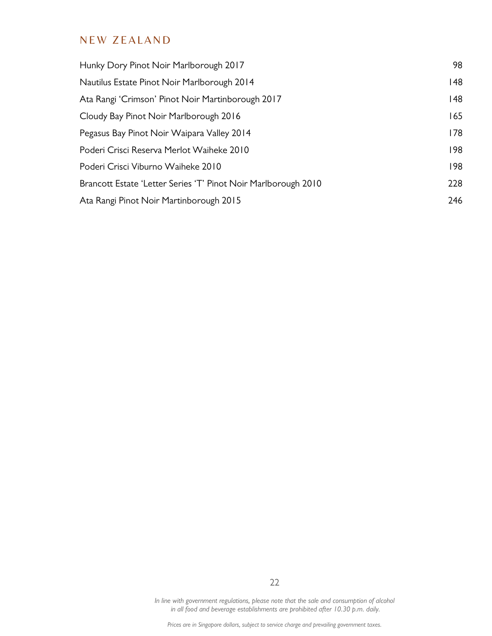# NEW ZEALAND

| Hunky Dory Pinot Noir Marlborough 2017                         | 98  |
|----------------------------------------------------------------|-----|
| Nautilus Estate Pinot Noir Marlborough 2014                    | 48  |
| Ata Rangi 'Crimson' Pinot Noir Martinborough 2017              | 48  |
| Cloudy Bay Pinot Noir Marlborough 2016                         | 165 |
| Pegasus Bay Pinot Noir Waipara Valley 2014                     | 178 |
| Poderi Crisci Reserva Merlot Waiheke 2010                      | 198 |
| Poderi Crisci Viburno Waiheke 2010                             | 198 |
| Brancott Estate 'Letter Series 'T' Pinot Noir Marlborough 2010 | 228 |
| Ata Rangi Pinot Noir Martinborough 2015                        | 246 |

In line with government regulations, please note that the sale and consumption of alcohol in all food and beverage establishments are prohibited after 10.30 p.m. daily.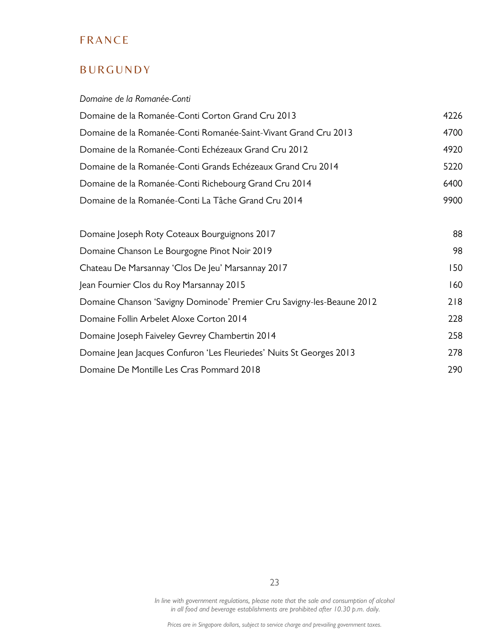# **FRANCE**

# **BURGUNDY**

#### Domaine de la Romanée-Conti

| Domaine de la Romanée-Conti Corton Grand Cru 2013                      | 4226 |
|------------------------------------------------------------------------|------|
| Domaine de la Romanée-Conti Romanée-Saint-Vivant Grand Cru 2013        | 4700 |
| Domaine de la Romanée-Conti Echézeaux Grand Cru 2012                   | 4920 |
| Domaine de la Romanée-Conti Grands Echézeaux Grand Cru 2014            | 5220 |
| Domaine de la Romanée-Conti Richebourg Grand Cru 2014                  | 6400 |
| Domaine de la Romanée-Conti La Tâche Grand Cru 2014                    | 9900 |
| Domaine Joseph Roty Coteaux Bourguignons 2017                          | 88   |
| Domaine Chanson Le Bourgogne Pinot Noir 2019                           | 98   |
| Chateau De Marsannay 'Clos De Jeu' Marsannay 2017                      | 150  |
| Jean Fournier Clos du Roy Marsannay 2015                               | 160  |
| Domaine Chanson 'Savigny Dominode' Premier Cru Savigny-les-Beaune 2012 | 218  |

| Domaine Chanson 'Savigny Dominode' Premier Cru Savigny-les-Beaune 2012 | 218        |
|------------------------------------------------------------------------|------------|
| Domaine Follin Arbelet Aloxe Corton 2014                               | 228        |
| Domaine Joseph Faiveley Gevrey Chambertin 2014                         | 258        |
| Domaine Jean Jacques Confuron 'Les Fleuriedes' Nuits St Georges 2013   | 278        |
| Domaine De Montille Les Cras Pommard 2018                              | <b>290</b> |

23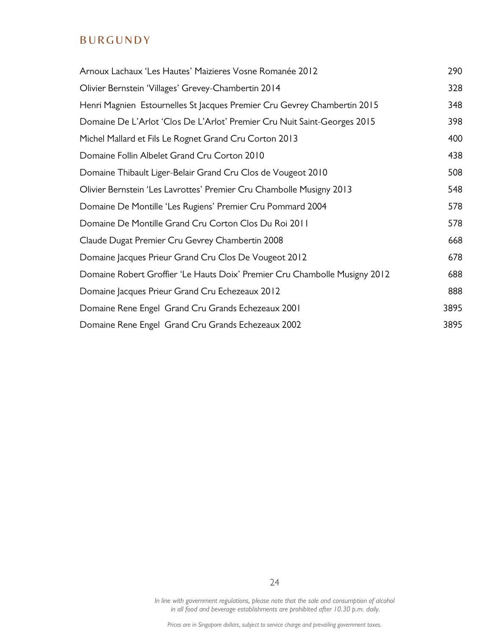# **BURGUNDY**

| Arnoux Lachaux 'Les Hautes' Maizieres Vosne Romanée 2012                   | 290  |
|----------------------------------------------------------------------------|------|
| Olivier Bernstein 'Villages' Grevey-Chambertin 2014                        | 328  |
| Henri Magnien Estournelles St Jacques Premier Cru Gevrey Chambertin 2015   | 348  |
| Domaine De L'Arlot 'Clos De L'Arlot' Premier Cru Nuit Saint-Georges 2015   | 398  |
| Michel Mallard et Fils Le Rognet Grand Cru Corton 2013                     | 400  |
| Domaine Follin Albelet Grand Cru Corton 2010                               | 438  |
| Domaine Thibault Liger-Belair Grand Cru Clos de Vougeot 2010               | 508  |
| Olivier Bernstein 'Les Lavrottes' Premier Cru Chambolle Musigny 2013       | 548  |
| Domaine De Montille 'Les Rugiens' Premier Cru Pommard 2004                 | 578  |
| Domaine De Montille Grand Cru Corton Clos Du Roi 2011                      | 578  |
| Claude Dugat Premier Cru Gevrey Chambertin 2008                            | 668  |
| Domaine Jacques Prieur Grand Cru Clos De Vougeot 2012                      | 678  |
| Domaine Robert Groffier 'Le Hauts Doix' Premier Cru Chambolle Musigny 2012 | 688  |
| Domaine Jacques Prieur Grand Cru Echezeaux 2012                            | 888  |
| Domaine Rene Engel Grand Cru Grands Echezeaux 2001                         | 3895 |
| Domaine Rene Engel Grand Cru Grands Echezeaux 2002                         | 3895 |

In line with government regulations, please note that the sale and consumption of alcohol in all food and beverage establishments are prohibited after 10.30 p.m. daily.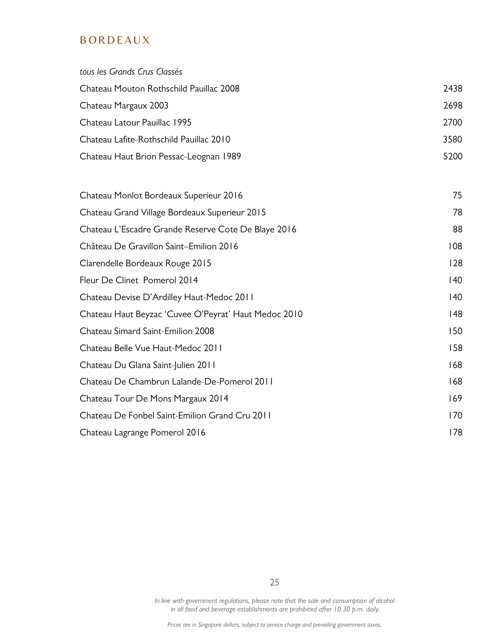# **BORDEAUX**

| tous les Grands Crus Classés                         |              |
|------------------------------------------------------|--------------|
| Chateau Mouton Rothschild Pauillac 2008              | 2438         |
| Chateau Margaux 2003                                 | 2698         |
| Chateau Latour Pauillac 1995                         | 2700         |
| Chateau Lafite-Rothschild Pauillac 2010              | 3580         |
| Chateau Haut Brion Pessac-Leognan 1989               | 5200         |
| Chateau Monlot Bordeaux Superieur 2016               | 75           |
| Chateau Grand Village Bordeaux Superieur 2015        | 78           |
| Chateau L'Escadre Grande Reserve Cote De Blaye 2016  | 88           |
| Château De Gravillon Saint-Emilion 2016              | 108          |
| Clarendelle Bordeaux Rouge 2015                      | 128          |
| Fleur De Clinet Pomerol 2014                         | $ 40\rangle$ |
| Chateau Devise D'Ardilley Haut-Medoc 2011            | $ 40\rangle$ |
| Chateau Haut Beyzac 'Cuvee O'Peyrat' Haut Medoc 2010 | 48           |
| Chateau Simard Saint-Emilion 2008                    | 150          |
| Chateau Belle Vue Haut-Medoc 2011                    | 158          |
| Chateau Du Glana Saint-Julien 2011                   | 168          |
| Chateau De Chambrun Lalande-De-Pomerol 2011          | 168          |
| Chateau Tour De Mons Margaux 2014                    | 169          |
| Chateau De Fonbel Saint-Emilion Grand Cru 2011       | 170          |
| Chateau Lagrange Pomerol 2016                        | 178          |

25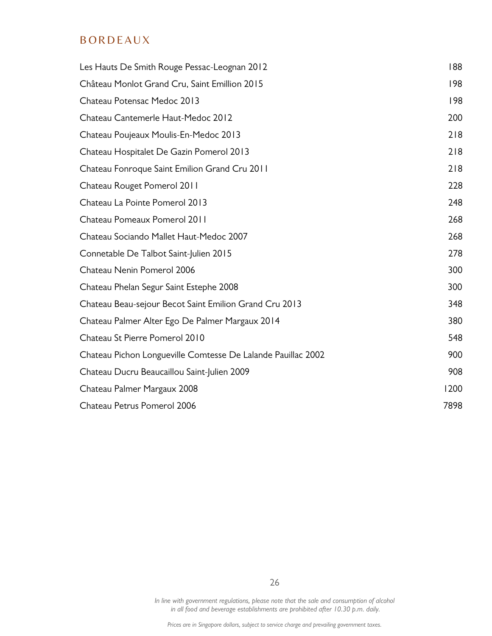# **BORDEAUX**

| Les Hauts De Smith Rouge Pessac-Leognan 2012                 | 188  |
|--------------------------------------------------------------|------|
| Château Monlot Grand Cru, Saint Emillion 2015                | 198  |
| Chateau Potensac Medoc 2013                                  | 198  |
| Chateau Cantemerle Haut-Medoc 2012                           | 200  |
| Chateau Poujeaux Moulis-En-Medoc 2013                        | 218  |
| Chateau Hospitalet De Gazin Pomerol 2013                     | 218  |
| Chateau Fonroque Saint Emilion Grand Cru 2011                | 218  |
| Chateau Rouget Pomerol 2011                                  | 228  |
| Chateau La Pointe Pomerol 2013                               | 248  |
| Chateau Pomeaux Pomerol 2011                                 | 268  |
| Chateau Sociando Mallet Haut-Medoc 2007                      | 268  |
| Connetable De Talbot Saint-Julien 2015                       | 278  |
| Chateau Nenin Pomerol 2006                                   | 300  |
| Chateau Phelan Segur Saint Estephe 2008                      | 300  |
| Chateau Beau-sejour Becot Saint Emilion Grand Cru 2013       | 348  |
| Chateau Palmer Alter Ego De Palmer Margaux 2014              | 380  |
| Chateau St Pierre Pomerol 2010                               | 548  |
| Chateau Pichon Longueville Comtesse De Lalande Pauillac 2002 | 900  |
| Chateau Ducru Beaucaillou Saint-Julien 2009                  | 908  |
| Chateau Palmer Margaux 2008                                  | 1200 |
| Chateau Petrus Pomerol 2006                                  | 7898 |

26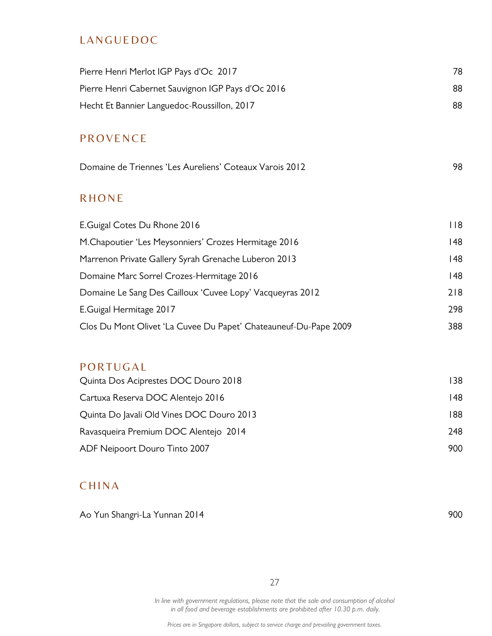# **LANGUEDOC**

| Pierre Henri Merlot IGP Pays d'Oc 2017                           | 78          |
|------------------------------------------------------------------|-------------|
| Pierre Henri Cabernet Sauvignon IGP Pays d'Oc 2016               | 88          |
| Hecht Et Bannier Languedoc-Roussillon, 2017                      | 88          |
| <b>PROVENCE</b>                                                  |             |
|                                                                  |             |
| Domaine de Triennes 'Les Aureliens' Coteaux Varois 2012          | 98          |
| <b>RHONE</b>                                                     |             |
| E.Guigal Cotes Du Rhone 2016                                     | $ $ $ $ $ $ |
| M. Chapoutier 'Les Meysonniers' Crozes Hermitage 2016            | 48          |
| Marrenon Private Gallery Syrah Grenache Luberon 2013             | 48          |
| Domaine Marc Sorrel Crozes-Hermitage 2016                        | 48          |
| Domaine Le Sang Des Cailloux 'Cuvee Lopy' Vacqueyras 2012        | 218         |
| E.Guigal Hermitage 2017                                          | 298         |
| Clos Du Mont Olivet 'La Cuvee Du Papet' Chateauneuf-Du-Pape 2009 | 388         |
|                                                                  |             |
| PORTUGAL                                                         |             |
| Quinta Dos Aciprestes DOC Douro 2018                             | 138         |
| Cartuxa Reserva DOC Alentejo 2016                                | 48          |
| Quinta Do Javali Old Vines DOC Douro 2013                        | 188         |
| Ravasqueira Premium DOC Alentejo 2014                            | 248         |

# **CHINA**

Ao Yun Shangri-La Yunnan 2014 and a shekarar 2014 and a shekarar 200

27

ADF Neipoort Douro Tinto 2007 **900**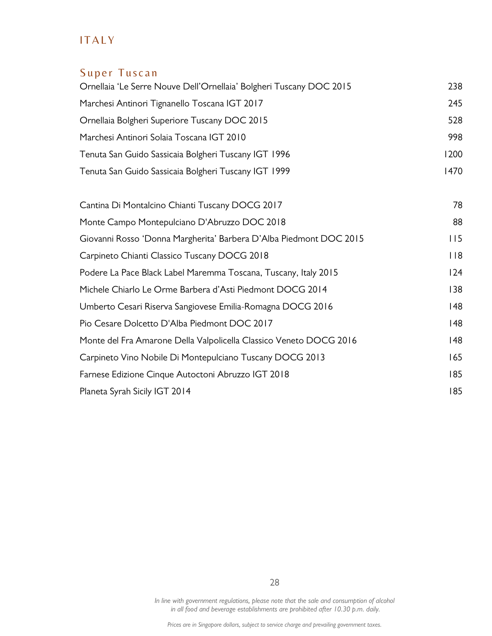# **ITALY**

# Super Tuscan

| Ornellaia 'Le Serre Nouve Dell'Ornellaia' Bolgheri Tuscany DOC 2015 | 238  |
|---------------------------------------------------------------------|------|
| Marchesi Antinori Tignanello Toscana IGT 2017                       | 245  |
| Ornellaia Bolgheri Superiore Tuscany DOC 2015                       | 528  |
| Marchesi Antinori Solaia Toscana IGT 2010                           | 998  |
| Tenuta San Guido Sassicaia Bolgheri Tuscany IGT 1996                | 1200 |
| Tenuta San Guido Sassicaia Bolgheri Tuscany IGT 1999                | 1470 |
| Cantina Di Montalcino Chianti Tuscany DOCG 2017                     | 78   |
| Monte Campo Montepulciano D'Abruzzo DOC 2018                        | 88   |
| Giovanni Rosso 'Donna Margherita' Barbera D'Alba Piedmont DOC 2015  | 115  |
| Carpineto Chianti Classico Tuscany DOCG 2018                        | 118  |
| Podere La Pace Black Label Maremma Toscana, Tuscany, Italy 2015     | 124  |
| Michele Chiarlo Le Orme Barbera d'Asti Piedmont DOCG 2014           | 138  |
| Umberto Cesari Riserva Sangiovese Emilia-Romagna DOCG 2016          | 148  |
| Pio Cesare Dolcetto D'Alba Piedmont DOC 2017                        | 48   |
| Monte del Fra Amarone Della Valpolicella Classico Veneto DOCG 2016  | 48   |
| Carpineto Vino Nobile Di Montepulciano Tuscany DOCG 2013            | 165  |
| Farnese Edizione Cinque Autoctoni Abruzzo IGT 2018                  | 185  |
| Planeta Syrah Sicily IGT 2014                                       | 185  |

In line with government regulations, please note that the sale and consumption of alcohol in all food and beverage establishments are prohibited after 10.30 p.m. daily.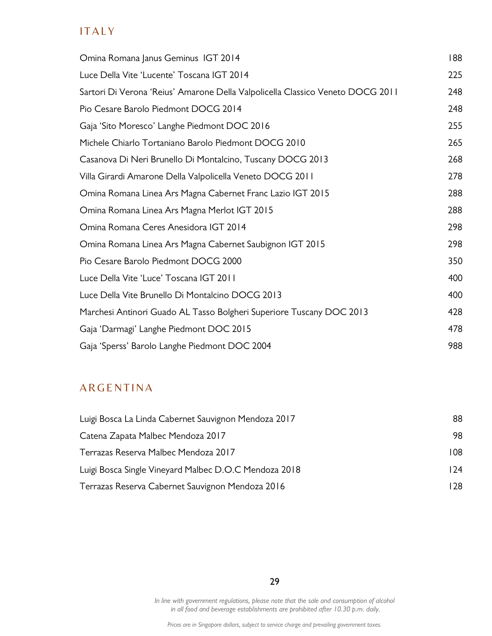# **ITALY**

| Omina Romana Janus Geminus IGT 2014                                            | 188 |
|--------------------------------------------------------------------------------|-----|
| Luce Della Vite 'Lucente' Toscana IGT 2014                                     | 225 |
| Sartori Di Verona 'Reius' Amarone Della Valpolicella Classico Veneto DOCG 2011 | 248 |
| Pio Cesare Barolo Piedmont DOCG 2014                                           | 248 |
| Gaja 'Sito Moresco' Langhe Piedmont DOC 2016                                   | 255 |
| Michele Chiarlo Tortaniano Barolo Piedmont DOCG 2010                           | 265 |
| Casanova Di Neri Brunello Di Montalcino, Tuscany DOCG 2013                     | 268 |
| Villa Girardi Amarone Della Valpolicella Veneto DOCG 2011                      | 278 |
| Omina Romana Linea Ars Magna Cabernet Franc Lazio IGT 2015                     | 288 |
| Omina Romana Linea Ars Magna Merlot IGT 2015                                   | 288 |
| Omina Romana Ceres Anesidora IGT 2014                                          | 298 |
| Omina Romana Linea Ars Magna Cabernet Saubignon IGT 2015                       | 298 |
| Pio Cesare Barolo Piedmont DOCG 2000                                           | 350 |
| Luce Della Vite 'Luce' Toscana IGT 2011                                        | 400 |
| Luce Della Vite Brunello Di Montalcino DOCG 2013                               | 400 |
| Marchesi Antinori Guado AL Tasso Bolgheri Superiore Tuscany DOC 2013           | 428 |
| Gaja 'Darmagi' Langhe Piedmont DOC 2015                                        | 478 |
| Gaja 'Sperss' Barolo Langhe Piedmont DOC 2004                                  | 988 |

# **ARGENTINA**

| Luigi Bosca La Linda Cabernet Sauvignon Mendoza 2017  | 88   |
|-------------------------------------------------------|------|
| Catena Zapata Malbec Mendoza 2017                     | 98.  |
| Terrazas Reserva Malbec Mendoza 2017                  | 108  |
| Luigi Bosca Single Vineyard Malbec D.O.C Mendoza 2018 | 124  |
| Terrazas Reserva Cabernet Sauvignon Mendoza 2016      | 128. |

29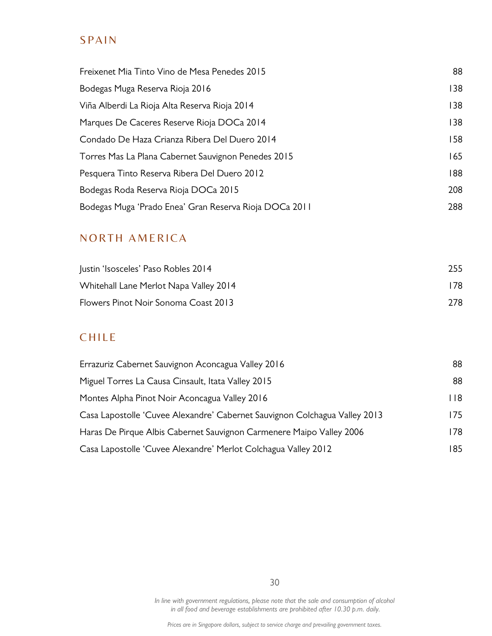# **SPAIN**

| Freixenet Mia Tinto Vino de Mesa Penedes 2015          | 88  |
|--------------------------------------------------------|-----|
| Bodegas Muga Reserva Rioja 2016                        | 138 |
| Viña Alberdi La Rioja Alta Reserva Rioja 2014          | 138 |
| Marques De Caceres Reserve Rioja DOCa 2014             | 138 |
| Condado De Haza Crianza Ribera Del Duero 2014          | 158 |
| Torres Mas La Plana Cabernet Sauvignon Penedes 2015    | 165 |
| Pesquera Tinto Reserva Ribera Del Duero 2012           | 188 |
| Bodegas Roda Reserva Rioja DOCa 2015                   | 208 |
| Bodegas Muga 'Prado Enea' Gran Reserva Rioja DOCa 2011 | 288 |

# NORTH AMERICA

| Justin 'Isosceles' Paso Robles 2014    | 255  |
|----------------------------------------|------|
| Whitehall Lane Merlot Napa Valley 2014 | 178. |
| Flowers Pinot Noir Sonoma Coast 2013   | 278. |

# **CHILE**

| Errazuriz Cabernet Sauvignon Aconcagua Valley 2016                         | 88   |
|----------------------------------------------------------------------------|------|
| Miguel Torres La Causa Cinsault, Itata Valley 2015                         | 88   |
| Montes Alpha Pinot Noir Aconcagua Valley 2016                              | 118. |
| Casa Lapostolle 'Cuvee Alexandre' Cabernet Sauvignon Colchagua Valley 2013 | 175. |
| Haras De Pirque Albis Cabernet Sauvignon Carmenere Maipo Valley 2006       | 178. |
| Casa Lapostolle 'Cuvee Alexandre' Merlot Colchagua Valley 2012             | 185  |

30

In line with government regulations, please note that the sale and consumption of alcohol in all food and beverage establishments are prohibited after 10.30 p.m. daily.